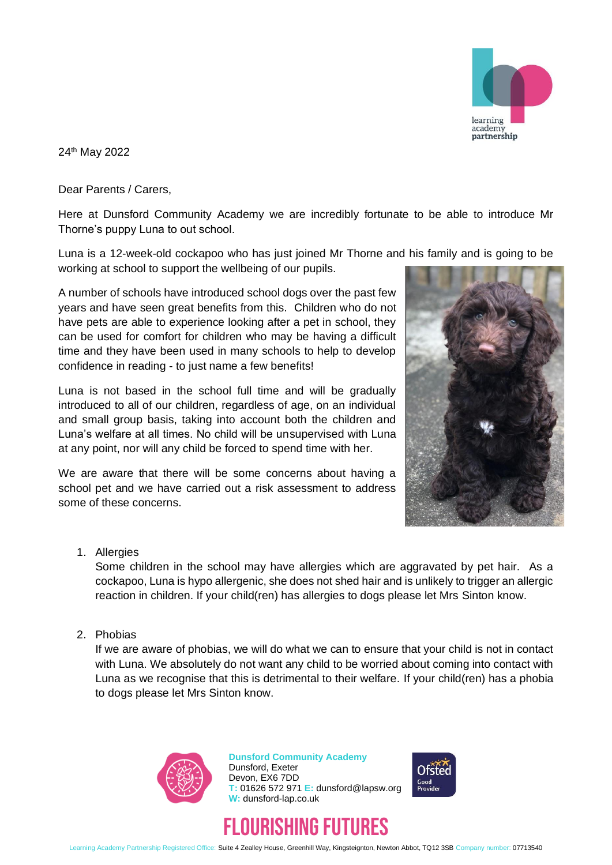

24th May 2022

Dear Parents / Carers,

Here at Dunsford Community Academy we are incredibly fortunate to be able to introduce Mr Thorne's puppy Luna to out school.

Luna is a 12-week-old cockapoo who has just joined Mr Thorne and his family and is going to be

working at school to support the wellbeing of our pupils.

A number of schools have introduced school dogs over the past few years and have seen great benefits from this. Children who do not have pets are able to experience looking after a pet in school, they can be used for comfort for children who may be having a difficult time and they have been used in many schools to help to develop confidence in reading - to just name a few benefits!

Luna is not based in the school full time and will be gradually introduced to all of our children, regardless of age, on an individual and small group basis, taking into account both the children and Luna's welfare at all times. No child will be unsupervised with Luna at any point, nor will any child be forced to spend time with her.

We are aware that there will be some concerns about having a school pet and we have carried out a risk assessment to address some of these concerns.



1. Allergies

Some children in the school may have allergies which are aggravated by pet hair. As a cockapoo, Luna is hypo allergenic, she does not shed hair and is unlikely to trigger an allergic reaction in children. If your child(ren) has allergies to dogs please let Mrs Sinton know.

2. Phobias

If we are aware of phobias, we will do what we can to ensure that your child is not in contact with Luna. We absolutely do not want any child to be worried about coming into contact with Luna as we recognise that this is detrimental to their welfare. If your child(ren) has a phobia to dogs please let Mrs Sinton know.



**Dunsford Community Academy** Dunsford, Exeter Devon, EX6 7DD **T:** 01626 572 971 **E:** dunsford@lapsw.org **W:** dunsford-lap.co.uk





Learning Academy Partnership Registered Office: Suite 4 Zealley House, Greenhill Way, Kingsteignton, Newton Abbot, TQ12 3SB Company number: 07713540